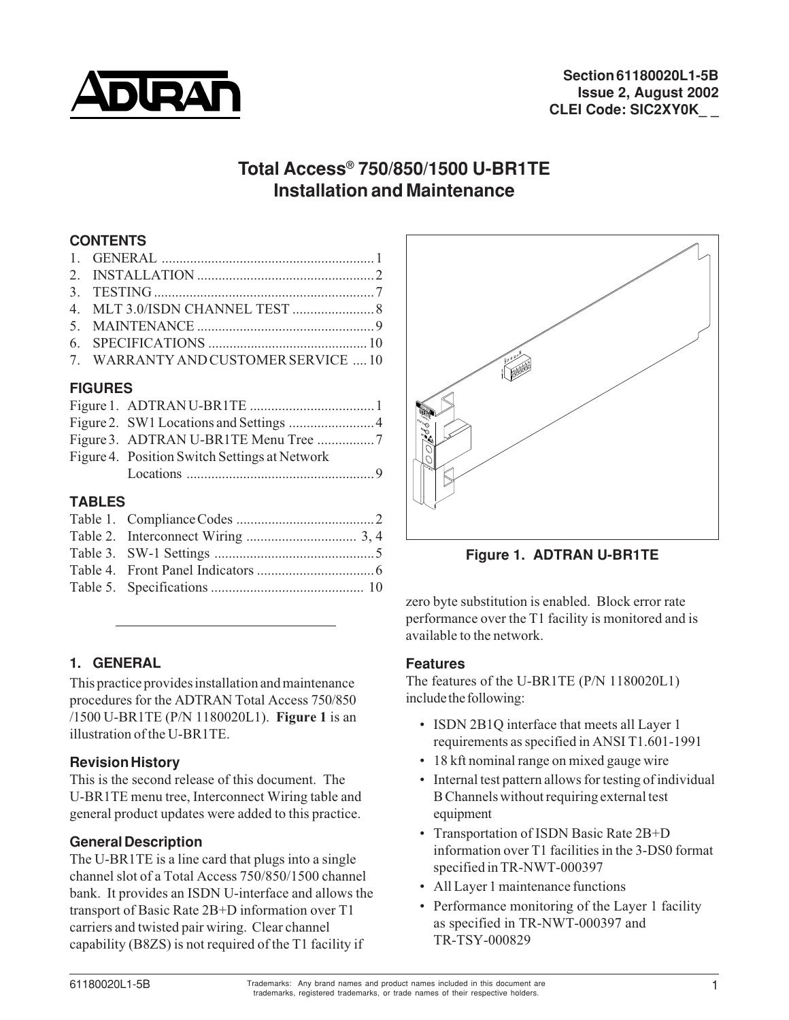

# **Total Access® 750/850/1500 U-BR1TE Installation and Maintenance**

### **CONTENTS**

| 7. WARRANTY AND CUSTOMER SERVICE  10 |  |
|--------------------------------------|--|
|                                      |  |

### **FIGURES**

| Figure 4. Position Switch Settings at Network |
|-----------------------------------------------|
|                                               |
|                                               |

## **TABLES**

### **1. GENERAL**

This practice provides installation and maintenance procedures for the ADTRAN Total Access 750/850 /1500 U-BR1TE (P/N 1180020L1). **Figure 1** is an illustration of the U-BR1TE.

### **Revision History**

This is the second release of this document. The U-BR1TE menu tree, Interconnect Wiring table and general product updates were added to this practice.

### **General Description**

The U-BR1TE is a line card that plugs into a single channel slot of a Total Access 750/850/1500 channel bank. It provides an ISDN U-interface and allows the transport of Basic Rate 2B+D information over T1 carriers and twisted pair wiring. Clear channel capability (B8ZS) is not required of the T1 facility if



**Figure 1. ADTRAN U-BR1TE**

zero byte substitution is enabled. Block error rate performance over the T1 facility is monitored and is available to the network.

### **Features**

The features of the U-BR1TE (P/N 1180020L1) include the following:

- ISDN 2B1Q interface that meets all Layer 1 requirements as specified in ANSI T1.601-1991
- 18 kft nominal range on mixed gauge wire
- Internal test pattern allows for testing of individual B Channels without requiring external test equipment
- Transportation of ISDN Basic Rate 2B+D information over T1 facilities in the 3-DS0 format specified in TR-NWT-000397
- All Layer 1 maintenance functions
- Performance monitoring of the Layer 1 facility as specified in TR-NWT-000397 and TR-TSY-000829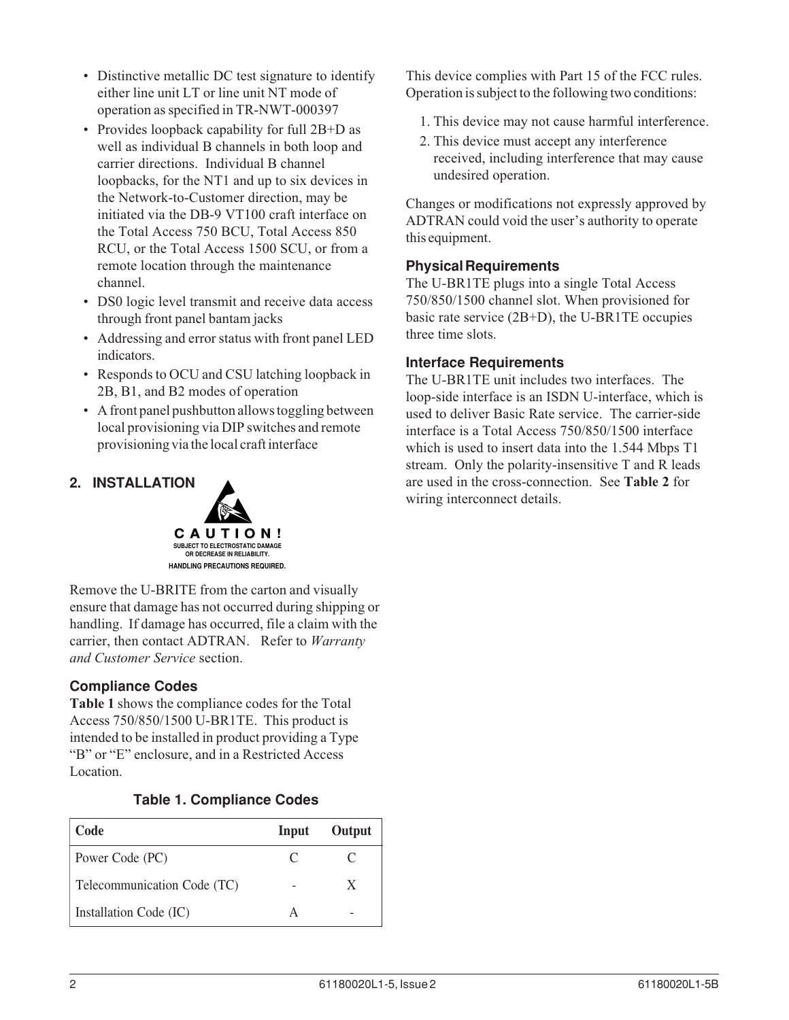- Distinctive metallic DC test signature to identify either line unit LT or line unit NT mode of operation as specified in TR-NWT-000397
- Provides loopback capability for full 2B+D as well as individual B channels in both loop and carrier directions. Individual B channel loopbacks, for the NT1 and up to six devices in the Network-to-Customer direction, may be initiated via the DB-9 VT100 craft interface on the Total Access 750 BCU, Total Access 850 RCU, or the Total Access 1500 SCU, or from a remote location through the maintenance channel.
- DS0 logic level transmit and receive data access through front panel bantam jacks
- Addressing and error status with front panel LED indicators.
- Responds to OCU and CSU latching loopback in 2B, B1, and B2 modes of operation
- A front panel pushbutton allows toggling between local provisioning via DIP switches and remote provisioning via the local craft interface

### **2. INSTALLATION**



Remove the U-BRITE from the carton and visually ensure that damage has not occurred during shipping or handling. If damage has occurred, file a claim with the carrier, then contact ADTRAN. Refer to *Warranty and Customer Service* section.

### **Compliance Codes**

**Table 1** shows the compliance codes for the Total Access 750/850/1500 U-BR1TE. This product is intended to be installed in product providing a Type "B" or "E" enclosure, and in a Restricted Access Location.

### **Table 1. Compliance Codes**

| Code                        | Input | Output |
|-----------------------------|-------|--------|
| Power Code (PC)             |       |        |
| Telecommunication Code (TC) |       |        |
| Installation Code (IC)      |       |        |

This device complies with Part 15 of the FCC rules. Operation is subject to the following two conditions:

- 1. This device may not cause harmful interference.
- 2. This device must accept any interference received, including interference that may cause undesired operation.

Changes or modifications not expressly approved by ADTRAN could void the user's authority to operate this equipment.

### **Physical Requirements**

The U-BR1TE plugs into a single Total Access 750/850/1500 channel slot. When provisioned for basic rate service (2B+D), the U-BR1TE occupies three time slots.

#### **Interface Requirements**

The U-BR1TE unit includes two interfaces. The loop-side interface is an ISDN U-interface, which is used to deliver Basic Rate service. The carrier-side interface is a Total Access 750/850/1500 interface which is used to insert data into the 1.544 Mbps T1 stream. Only the polarity-insensitive T and R leads are used in the cross-connection. See **Table 2** for wiring interconnect details.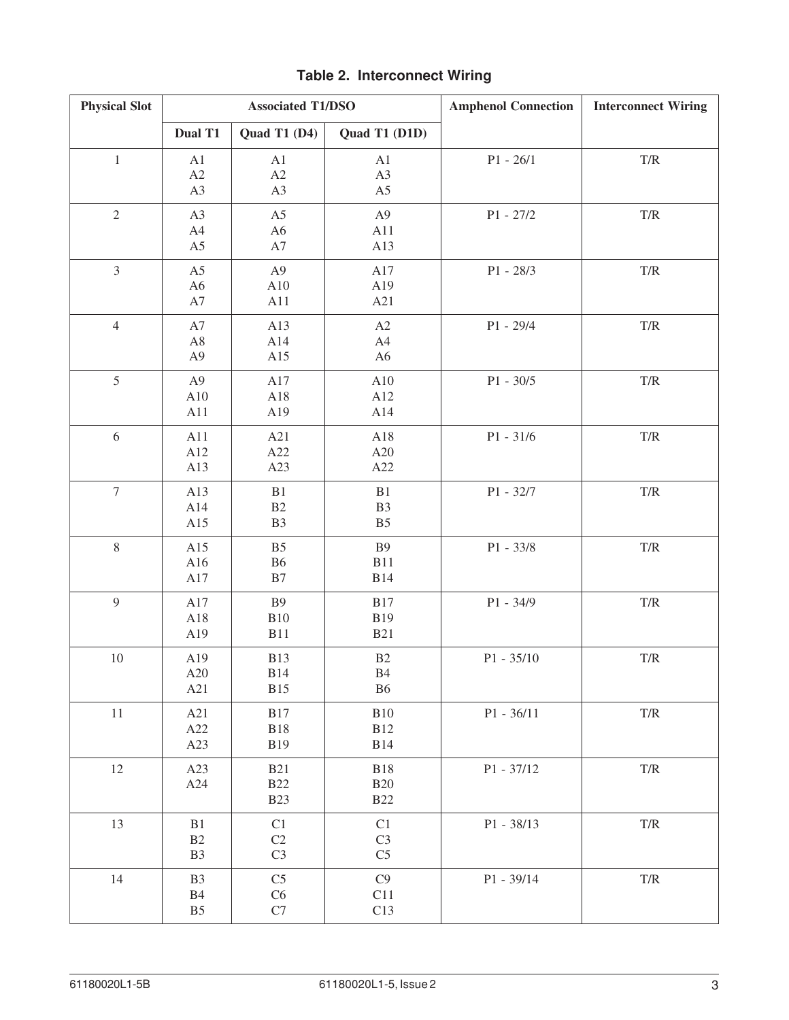| <b>Physical Slot</b> | <b>Associated T1/DSO</b>                          |                                              |                                        | <b>Amphenol Connection</b> | <b>Interconnect Wiring</b> |
|----------------------|---------------------------------------------------|----------------------------------------------|----------------------------------------|----------------------------|----------------------------|
|                      | Dual T1                                           | Quad T1 (D4)                                 | Quad T1 (D1D)                          |                            |                            |
| $\,1$                | A1<br>A2<br>A3                                    | A1<br>A2<br>A <sub>3</sub>                   | A1<br>A3<br>A <sub>5</sub>             | $P1 - 26/1$                | $\mathrm{T}/\mathrm{R}$    |
| $\overline{2}$       | A3<br>A4<br>A <sub>5</sub>                        | A <sub>5</sub><br>A <sub>6</sub><br>$\rm A7$ | A <sub>9</sub><br>A11<br>A13           | $P1 - 27/2$                | $\mathrm{T}/\mathrm{R}$    |
| $\overline{3}$       | A5<br>A <sub>6</sub><br>A7                        | A <sub>9</sub><br>A10<br>A11                 | A17<br>A19<br>A21                      | $P1 - 28/3$                | $\mathrm{T}/\mathrm{R}$    |
| $\overline{4}$       | A7<br>A8<br>A <sub>9</sub>                        | A13<br>A14<br>A15                            | A2<br>A4<br>A <sub>6</sub>             | $P1 - 29/4$                | $\mathrm{T}/\mathrm{R}$    |
| 5                    | A <sub>9</sub><br>A10<br>A11                      | A17<br>A18<br>A19                            | A10<br>A12<br>A14                      | $P1 - 30/5$                | $\mathrm{T}/\mathrm{R}$    |
| 6                    | A11<br>A12<br>A13                                 | A21<br>A22<br>A23                            | A18<br>A20<br>A22                      | $P1 - 31/6$                | $\mathrm{T}/\mathrm{R}$    |
| $\tau$               | A13<br>A14<br>A15                                 | B1<br>B2<br>B <sub>3</sub>                   | B1<br>B <sub>3</sub><br>B <sub>5</sub> | P1 - 32/7                  | $\mathrm{T}/\mathrm{R}$    |
| $8\,$                | A15<br>A16<br>A17                                 | B <sub>5</sub><br><b>B6</b><br>$\rm B7$      | <b>B9</b><br><b>B11</b><br><b>B14</b>  | $P1 - 33/8$                | $\mathrm{T}/\mathrm{R}$    |
| 9                    | A17<br>A18<br>A19                                 | <b>B9</b><br>B10<br><b>B11</b>               | <b>B17</b><br><b>B19</b><br><b>B21</b> | $P1 - 34/9$                | $\mathrm{T}/\mathrm{R}$    |
| 10                   | A19<br>A20<br>A21                                 | <b>B13</b><br><b>B14</b><br><b>B15</b>       | B2<br><b>B</b> 4<br><b>B6</b>          | $P1 - 35/10$               | $\mathrm{T}/\mathrm{R}$    |
| $11\,$               | A21<br>A22<br>A23                                 | <b>B17</b><br><b>B18</b><br><b>B19</b>       | B10<br><b>B12</b><br><b>B14</b>        | $P1 - 36/11$               | $\mathrm{T}/\mathrm{R}$    |
| 12                   | A23<br>A24                                        | <b>B21</b><br><b>B22</b><br><b>B23</b>       | <b>B18</b><br><b>B20</b><br><b>B22</b> | $P1 - 37/12$               | $\mathrm{T}/\mathrm{R}$    |
| 13                   | B1<br>B2<br>B <sub>3</sub>                        | C1<br>C2<br>C <sub>3</sub>                   | C1<br>C <sub>3</sub><br>C <sub>5</sub> | P1 - 38/13                 | $\mathrm{T}/\mathrm{R}$    |
| 14                   | B <sub>3</sub><br>$\mathbf{B}4$<br>B <sub>5</sub> | C <sub>5</sub><br>C6<br>C7                   | C9<br>C11<br>C13                       | P1 - 39/14                 | $\mathrm{T}/\mathrm{R}$    |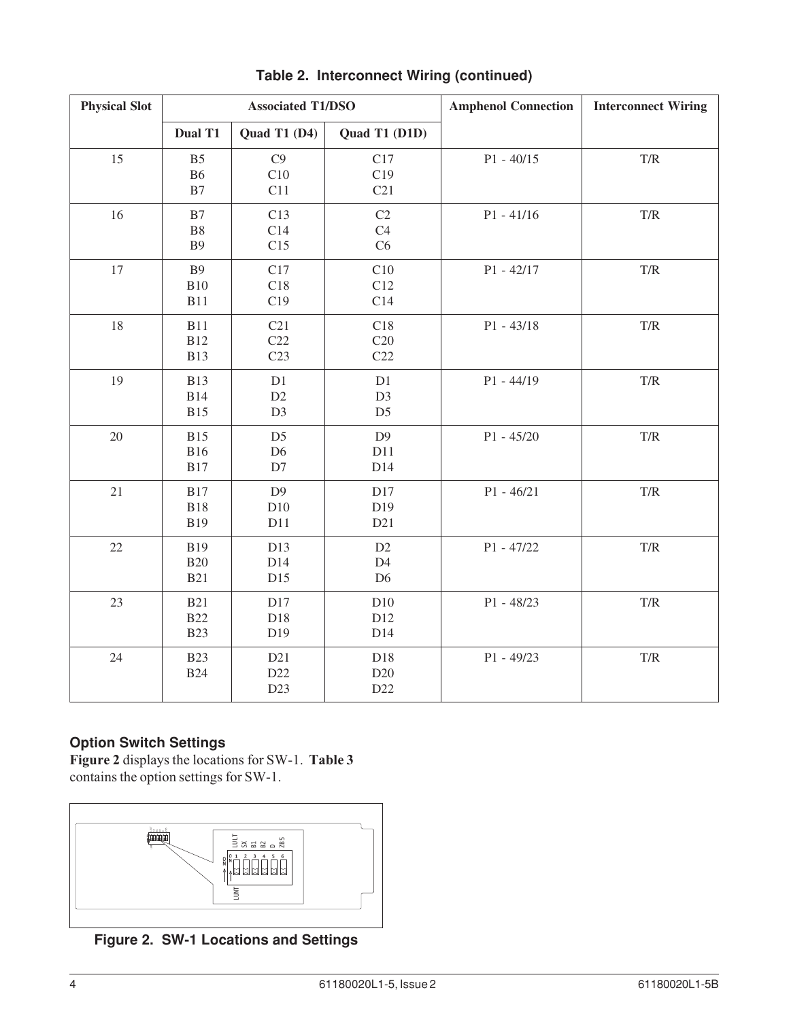| <b>Physical Slot</b> |                                        | <b>Associated T1/DSO</b>               |                                        | <b>Amphenol Connection</b> | <b>Interconnect Wiring</b> |
|----------------------|----------------------------------------|----------------------------------------|----------------------------------------|----------------------------|----------------------------|
|                      | Dual T1                                | Quad T1 (D4)                           | Quad T1 (D1D)                          |                            |                            |
| 15                   | B <sub>5</sub><br><b>B6</b><br>B7      | C9<br>C10<br>C11                       | C17<br>C19<br>C21                      | $P1 - 40/15$               | T/R                        |
| 16                   | B7<br>B8<br><b>B9</b>                  | C13<br>C14<br>C15                      | C2<br>C4<br>C6                         | $P1 - 41/16$               | T/R                        |
| 17                   | <b>B9</b><br><b>B10</b><br><b>B11</b>  | C17<br>C18<br>C19                      | C10<br>C12<br>C14                      | $P1 - 42/17$               | $\mathrm{T}/\mathrm{R}$    |
| 18                   | <b>B11</b><br><b>B12</b><br><b>B13</b> | C21<br>C22<br>C <sub>23</sub>          | C18<br>C20<br>C22                      | $P1 - 43/18$               | T/R                        |
| 19                   | <b>B13</b><br><b>B14</b><br><b>B15</b> | D1<br>D2<br>D <sub>3</sub>             | D1<br>D <sub>3</sub><br>D <sub>5</sub> | $P1 - 44/19$               | T/R                        |
| $20\,$               | <b>B15</b><br><b>B16</b><br><b>B17</b> | D <sub>5</sub><br>D <sub>6</sub><br>D7 | D <sub>9</sub><br>D11<br>D14           | $P1 - 45/20$               | $\mathrm{T}/\mathrm{R}$    |
| $21\,$               | <b>B17</b><br><b>B18</b><br><b>B19</b> | D <sub>9</sub><br>D10<br>D11           | D17<br>D19<br>D21                      | $P1 - 46/21$               | $\mathrm{T}/\mathrm{R}$    |
| 22                   | <b>B19</b><br><b>B20</b><br><b>B21</b> | D13<br>D14<br>D15                      | D2<br>D4<br>D <sub>6</sub>             | $P1 - 47/22$               | T/R                        |
| 23                   | <b>B21</b><br><b>B22</b><br><b>B23</b> | D17<br>D18<br>D19                      | D10<br>D12<br>D14                      | $P1 - 48/23$               | $\mathrm{T}/\mathrm{R}$    |
| 24                   | <b>B23</b><br><b>B24</b>               | D21<br>D22<br>D <sub>23</sub>          | D18<br>D20<br>D22                      | $P1 - 49/23$               | $\mathrm{T}/\mathrm{R}$    |

**Table 2. Interconnect Wiring (continued)**

### **Option Switch Settings**

**Figure 2** displays the locations for SW-1. **Table 3** contains the option settings for SW-1.



**Figure 2. SW-1 Locations and Settings**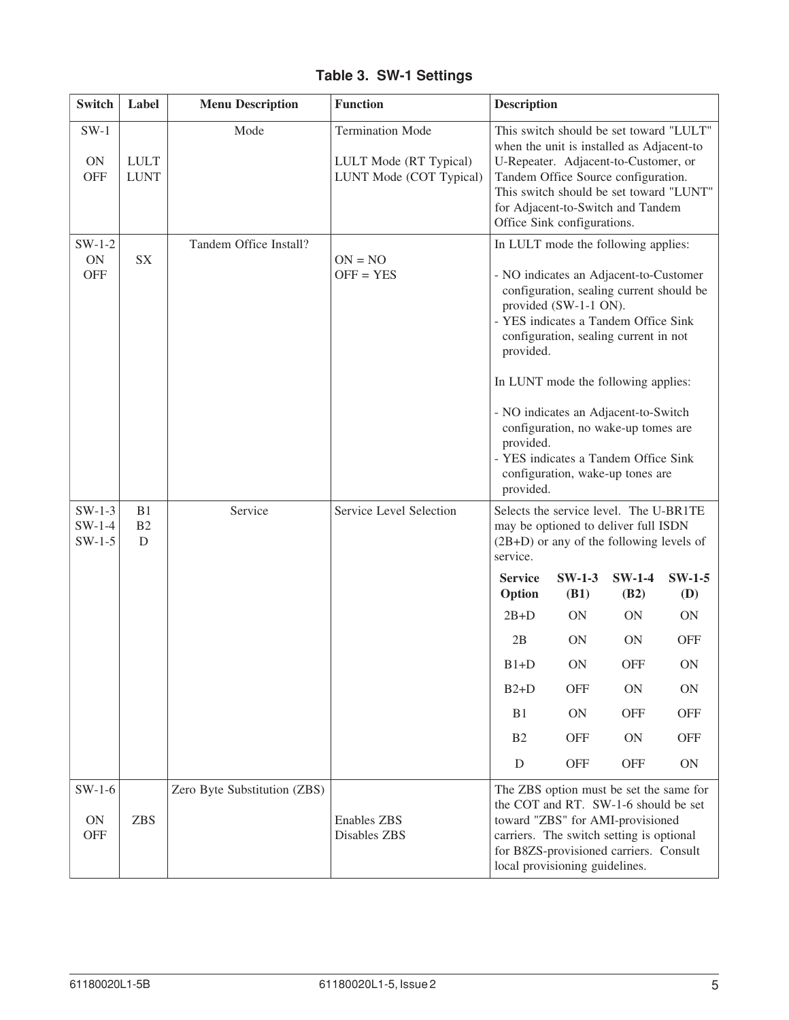| <b>Switch</b>                       | Label                      | <b>Menu Description</b>      | <b>Function</b>                                                              | <b>Description</b>                                                                                                                                                                                                                                                                                                                                                                                                                                                           |                                                                                                      |
|-------------------------------------|----------------------------|------------------------------|------------------------------------------------------------------------------|------------------------------------------------------------------------------------------------------------------------------------------------------------------------------------------------------------------------------------------------------------------------------------------------------------------------------------------------------------------------------------------------------------------------------------------------------------------------------|------------------------------------------------------------------------------------------------------|
| $SW-1$<br>$\rm ON$<br><b>OFF</b>    | <b>LULT</b><br><b>LUNT</b> | Mode                         | <b>Termination Mode</b><br>LULT Mode (RT Typical)<br>LUNT Mode (COT Typical) | This switch should be set toward "LULT"<br>when the unit is installed as Adjacent-to<br>U-Repeater. Adjacent-to-Customer, or<br>Tandem Office Source configuration.<br>This switch should be set toward "LUNT"<br>for Adjacent-to-Switch and Tandem<br>Office Sink configurations.                                                                                                                                                                                           |                                                                                                      |
| $SW-1-2$<br>ON<br><b>OFF</b>        | <b>SX</b>                  | Tandem Office Install?       | $ON = NO$<br>$OFF = YES$                                                     | In LULT mode the following applies:<br>- NO indicates an Adjacent-to-Customer<br>configuration, sealing current should be<br>provided (SW-1-1 ON).<br>- YES indicates a Tandem Office Sink<br>configuration, sealing current in not<br>provided.<br>In LUNT mode the following applies:<br>- NO indicates an Adjacent-to-Switch<br>configuration, no wake-up tomes are<br>provided.<br>- YES indicates a Tandem Office Sink<br>configuration, wake-up tones are<br>provided. |                                                                                                      |
| $SW-1-3$<br>$SW-1-4$<br>$SW-1-5$    | B1<br>B2<br>$\mathbf D$    | Service                      | Service Level Selection                                                      | Selects the service level. The U-BR1TE<br>may be optioned to deliver full ISDN<br>$(2B+D)$ or any of the following levels of<br>service.<br>$SW-1-3$<br>$SW-1-4$<br><b>Service</b><br>Option<br>(B1)<br>(B2)<br>$2B+D$<br><b>ON</b><br><b>ON</b><br>2B<br><b>ON</b><br><b>ON</b><br>$B1+D$<br><b>ON</b><br><b>OFF</b><br><b>OFF</b><br>$B2+D$<br>ON<br>B1<br>ON<br><b>OFF</b><br><b>OFF</b><br><b>ON</b><br>B <sub>2</sub><br><b>OFF</b><br>D<br><b>OFF</b>                  | $SW-1-5$<br><b>(D)</b><br>$\rm ON$<br><b>OFF</b><br>ON<br>ON<br><b>OFF</b><br><b>OFF</b><br>$\rm ON$ |
| $SW-1-6$<br><b>ON</b><br><b>OFF</b> | <b>ZBS</b>                 | Zero Byte Substitution (ZBS) | <b>Enables ZBS</b><br>Disables ZBS                                           | The ZBS option must be set the same for<br>the COT and RT. SW-1-6 should be set<br>toward "ZBS" for AMI-provisioned<br>carriers. The switch setting is optional<br>for B8ZS-provisioned carriers. Consult<br>local provisioning guidelines.                                                                                                                                                                                                                                  |                                                                                                      |

**Table 3. SW-1 Settings**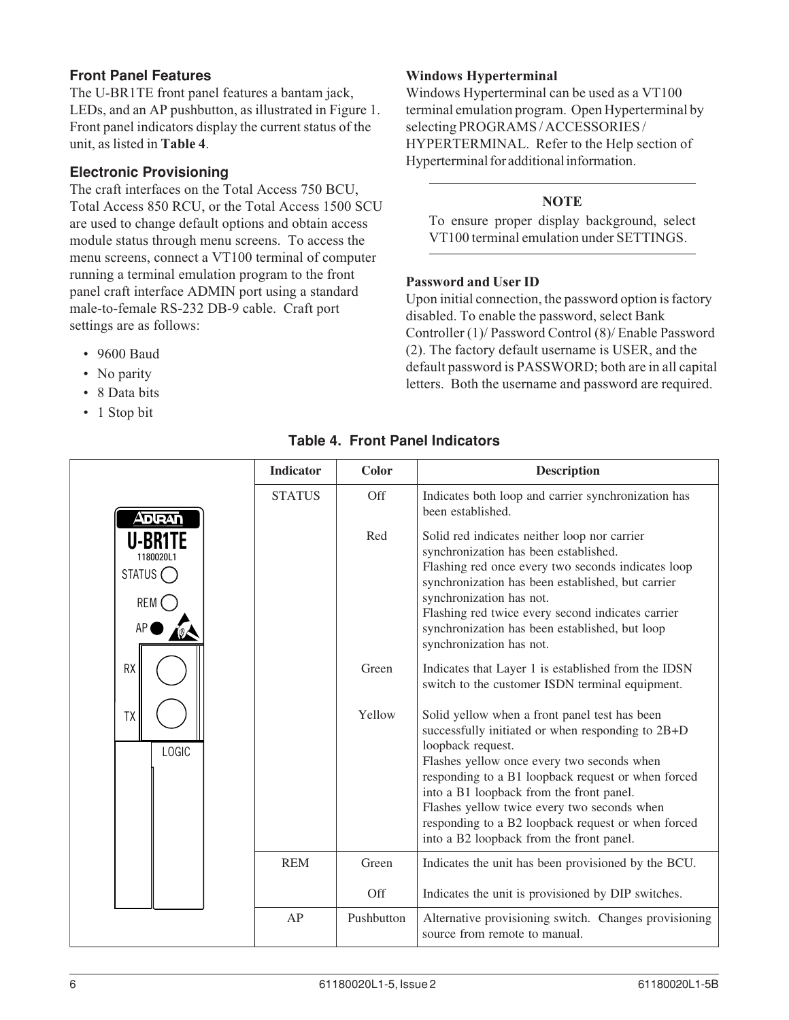#### **Front Panel Features**

The U-BR1TE front panel features a bantam jack, LEDs, and an AP pushbutton, as illustrated in Figure 1. Front panel indicators display the current status of the unit, as listed in **Table 4**.

#### **Electronic Provisioning**

The craft interfaces on the Total Access 750 BCU, Total Access 850 RCU, or the Total Access 1500 SCU are used to change default options and obtain access module status through menu screens. To access the menu screens, connect a VT100 terminal of computer running a terminal emulation program to the front panel craft interface ADMIN port using a standard male-to-female RS-232 DB-9 cable. Craft port settings are as follows:

- 9600 Baud
- No parity
- 8 Data bits
- 1 Stop bit

#### **Windows Hyperterminal**

Windows Hyperterminal can be used as a VT100 terminal emulation program. Open Hyperterminal by selecting PROGRAMS / ACCESSORIES / HYPERTERMINAL. Refer to the Help section of Hyperterminal for additional information.

#### **NOTE**

To ensure proper display background, select VT100 terminal emulation under SETTINGS.

#### **Password and User ID**

Upon initial connection, the password option is factory disabled. To enable the password, select Bank Controller (1)/ Password Control (8)/ Enable Password (2). The factory default username is USER, and the default password is PASSWORD; both are in all capital letters. Both the username and password are required.

#### **Indicator Color Description** STATUS Off Indicates both loop and carrier synchronization has been established. **ADIRAN** Red Solid red indicates neither loop nor carrier **U-BR1TE** synchronization has been established. 1180020L1 Flashing red once every two seconds indicates loop STATUS<sup>
</sup> synchronization has been established, but carrier synchronization has not. REM Flashing red twice every second indicates carrier synchronization has been established, but loop AP synchronization has not. RX Green Indicates that Layer 1 is established from the IDSN switch to the customer ISDN terminal equipment. Yellow Solid yellow when a front panel test has been TXsuccessfully initiated or when responding to 2B+D loopback request. LOGIC Flashes yellow once every two seconds when responding to a B1 loopback request or when forced into a B1 loopback from the front panel. Flashes yellow twice every two seconds when responding to a B2 loopback request or when forced into a B2 loopback from the front panel. REM Green Indicates the unit has been provisioned by the BCU. Off Indicates the unit is provisioned by DIP switches.  $AP$  Pushbutton Alternative provisioning switch. Changes provisioning source from remote to manual.

#### **Table 4. Front Panel Indicators**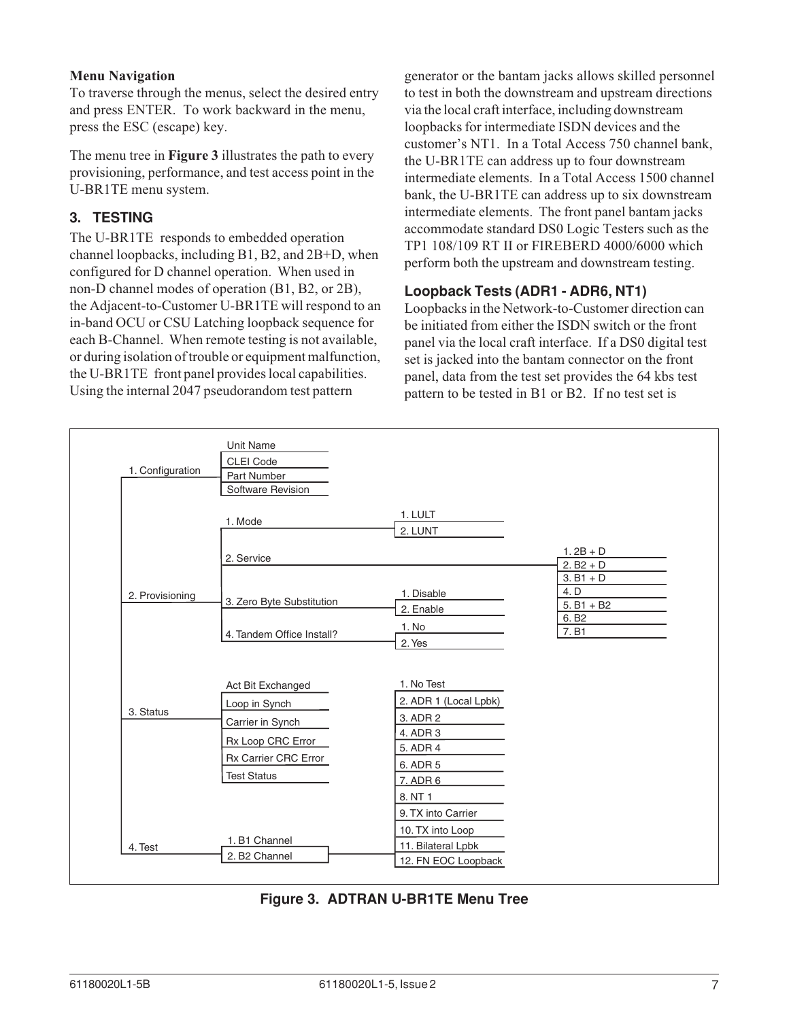#### **Menu Navigation**

To traverse through the menus, select the desired entry and press ENTER. To work backward in the menu, press the ESC (escape) key.

The menu tree in **Figure 3** illustrates the path to every provisioning, performance, and test access point in the U-BR1TE menu system.

### **3. TESTING**

The U-BR1TE responds to embedded operation channel loopbacks, including B1, B2, and 2B+D, when configured for D channel operation. When used in non-D channel modes of operation (B1, B2, or 2B), the Adjacent-to-Customer U-BR1TE will respond to an in-band OCU or CSU Latching loopback sequence for each B-Channel. When remote testing is not available, or during isolation of trouble or equipment malfunction, the U-BR1TE front panel provides local capabilities. Using the internal 2047 pseudorandom test pattern

generator or the bantam jacks allows skilled personnel to test in both the downstream and upstream directions via the local craft interface, including downstream loopbacks for intermediate ISDN devices and the customer's NT1. In a Total Access 750 channel bank, the U-BR1TE can address up to four downstream intermediate elements. In a Total Access 1500 channel bank, the U-BR1TE can address up to six downstream intermediate elements. The front panel bantam jacks accommodate standard DS0 Logic Testers such as the TP1 108/109 RT II or FIREBERD 4000/6000 which perform both the upstream and downstream testing.

### **Loopback Tests (ADR1 - ADR6, NT1)**

Loopbacks in the Network-to-Customer direction can be initiated from either the ISDN switch or the front panel via the local craft interface. If a DS0 digital test set is jacked into the bantam connector on the front panel, data from the test set provides the 64 kbs test pattern to be tested in B1 or B2. If no test set is

| 1. Configuration | <b>Unit Name</b><br><b>CLEI Code</b><br>Part Number<br>Software Revision |                                           |                                     |
|------------------|--------------------------------------------------------------------------|-------------------------------------------|-------------------------------------|
|                  | 1. Mode                                                                  | 1. LULT<br>2. LUNT                        |                                     |
|                  | 2. Service                                                               |                                           | $1.2B + D$<br>$2. B2 + D$           |
| 2. Provisioning  | 3. Zero Byte Substitution                                                | 1. Disable<br>2. Enable                   | $3. B1 + D$<br>4. D<br>$5. B1 + B2$ |
|                  | 4. Tandem Office Install?                                                | 1. No<br>2. Yes                           | 6. B <sub>2</sub><br>7. B1          |
|                  |                                                                          | 1. No Test                                |                                     |
|                  | Act Bit Exchanged<br>Loop in Synch                                       | 2. ADR 1 (Local Lpbk)                     |                                     |
| 3. Status        | Carrier in Synch                                                         | 3. ADR 2                                  |                                     |
|                  | Rx Loop CRC Error                                                        | 4. ADR 3<br>5. ADR 4                      |                                     |
|                  | Rx Carrier CRC Error                                                     | 6. ADR 5                                  |                                     |
|                  | <b>Test Status</b>                                                       | 7. ADR 6                                  |                                     |
|                  |                                                                          | 8. NT 1                                   |                                     |
|                  |                                                                          | 9. TX into Carrier<br>10. TX into Loop    |                                     |
| 4. Test          | 1. B1 Channel<br>2. B2 Channel                                           | 11. Bilateral Lpbk<br>12. FN EOC Loopback |                                     |

### **Figure 3. ADTRAN U-BR1TE Menu Tree**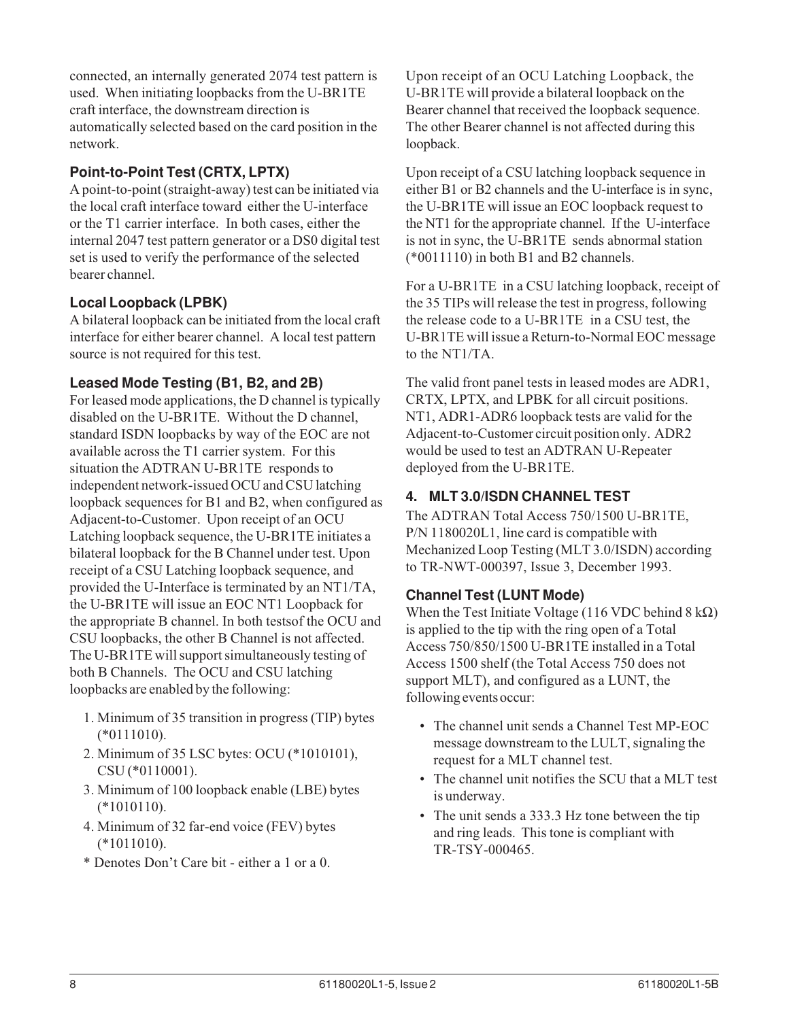connected, an internally generated 2074 test pattern is used. When initiating loopbacks from the U-BR1TE craft interface, the downstream direction is automatically selected based on the card position in the network.

### **Point-to-Point Test (CRTX, LPTX)**

A point-to-point (straight-away) test can be initiated via the local craft interface toward either the U-interface or the T1 carrier interface. In both cases, either the internal 2047 test pattern generator or a DS0 digital test set is used to verify the performance of the selected bearer channel.

### **Local Loopback (LPBK)**

A bilateral loopback can be initiated from the local craft interface for either bearer channel. A local test pattern source is not required for this test.

#### **Leased Mode Testing (B1, B2, and 2B)**

For leased mode applications, the D channel is typically disabled on the U-BR1TE. Without the D channel, standard ISDN loopbacks by way of the EOC are not available across the T1 carrier system. For this situation the ADTRAN U-BR1TE responds to independent network-issued OCU and CSU latching loopback sequences for B1 and B2, when configured as Adjacent-to-Customer. Upon receipt of an OCU Latching loopback sequence, the U-BR1TE initiates a bilateral loopback for the B Channel under test. Upon receipt of a CSU Latching loopback sequence, and provided the U-Interface is terminated by an NT1/TA, the U-BR1TE will issue an EOC NT1 Loopback for the appropriate B channel. In both testsof the OCU and CSU loopbacks, the other B Channel is not affected. The U-BR1TE will support simultaneously testing of both B Channels. The OCU and CSU latching loopbacks are enabled by the following:

- 1. Minimum of 35 transition in progress (TIP) bytes (\*0111010).
- 2. Minimum of 35 LSC bytes: OCU (\*1010101), CSU (\*0110001).
- 3. Minimum of 100 loopback enable (LBE) bytes  $(*1010110).$
- 4. Minimum of 32 far-end voice (FEV) bytes (\*1011010).
- \* Denotes Don't Care bit either a 1 or a 0.

Upon receipt of an OCU Latching Loopback, the U-BR1TE will provide a bilateral loopback on the Bearer channel that received the loopback sequence. The other Bearer channel is not affected during this loopback.

Upon receipt of a CSU latching loopback sequence in either B1 or B2 channels and the U-interface is in sync, the U-BR1TE will issue an EOC loopback request to the NT1 for the appropriate channel. If the U-interface is not in sync, the U-BR1TE sends abnormal station (\*0011110) in both B1 and B2 channels.

For a U-BR1TE in a CSU latching loopback, receipt of the 35 TIPs will release the test in progress, following the release code to a U-BR1TE in a CSU test, the U-BR1TE will issue a Return-to-Normal EOC message to the NT1/TA.

The valid front panel tests in leased modes are ADR1, CRTX, LPTX, and LPBK for all circuit positions. NT1, ADR1-ADR6 loopback tests are valid for the Adjacent-to-Customer circuit position only. ADR2 would be used to test an ADTRAN U-Repeater deployed from the U-BR1TE.

### **4. MLT 3.0/ISDN CHANNEL TEST**

The ADTRAN Total Access 750/1500 U-BR1TE, P/N 1180020L1, line card is compatible with Mechanized Loop Testing (MLT 3.0/ISDN) according to TR-NWT-000397, Issue 3, December 1993.

### **Channel Test (LUNT Mode)**

When the Test Initiate Voltage (116 VDC behind  $8 \text{ k}\Omega$ ) is applied to the tip with the ring open of a Total Access 750/850/1500 U-BR1TE installed in a Total Access 1500 shelf (the Total Access 750 does not support MLT), and configured as a LUNT, the following events occur:

- The channel unit sends a Channel Test MP-EOC message downstream to the LULT, signaling the request for a MLT channel test.
- The channel unit notifies the SCU that a MLT test is underway.
- The unit sends a 333.3 Hz tone between the tip and ring leads. This tone is compliant with TR-TSY-000465.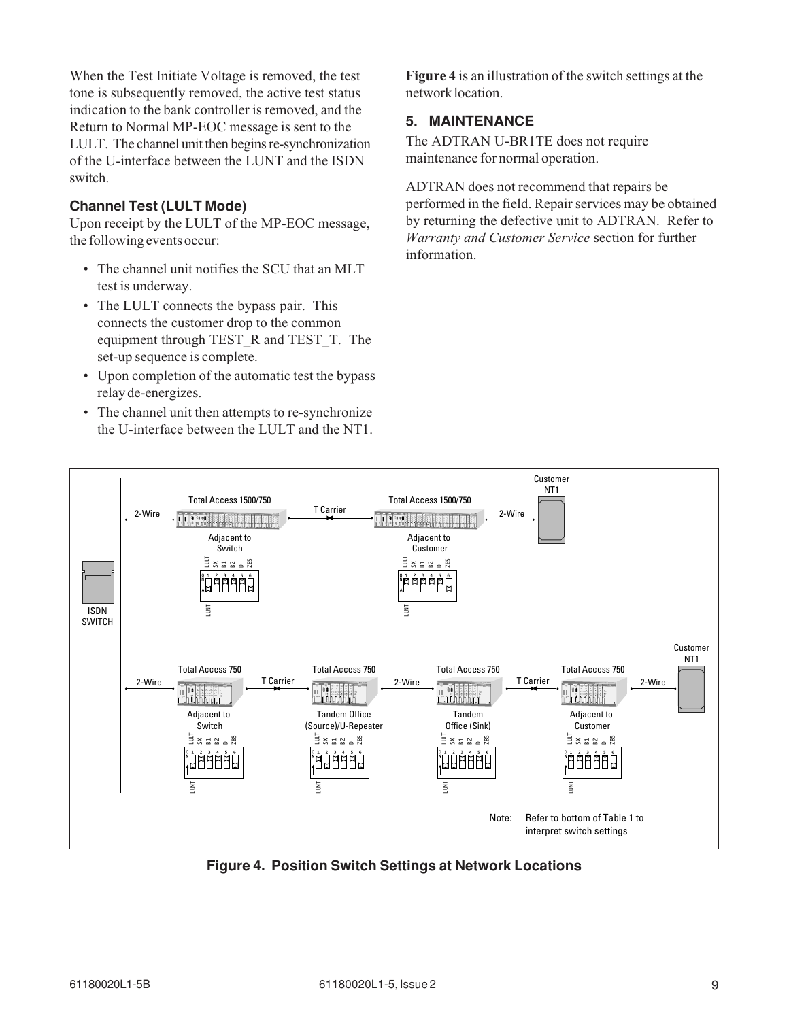When the Test Initiate Voltage is removed, the test tone is subsequently removed, the active test status indication to the bank controller is removed, and the Return to Normal MP-EOC message is sent to the LULT. The channel unit then begins re-synchronization of the U-interface between the LUNT and the ISDN switch.

#### **Channel Test (LULT Mode)**

Upon receipt by the LULT of the MP-EOC message, the following events occur:

- The channel unit notifies the SCU that an MLT test is underway.
- The LULT connects the bypass pair. This connects the customer drop to the common equipment through TEST\_R and TEST\_T. The set-up sequence is complete.
- Upon completion of the automatic test the bypass relay de-energizes.
- The channel unit then attempts to re-synchronize the U-interface between the LULT and the NT1.

network location.

#### **5. MAINTENANCE**

The ADTRAN U-BR1TE does not require maintenance for normal operation.

ADTRAN does not recommend that repairs be performed in the field. Repair services may be obtained by returning the defective unit to ADTRAN. Refer to *Warranty and Customer Service* section for further information.



**Figure 4. Position Switch Settings at Network Locations**